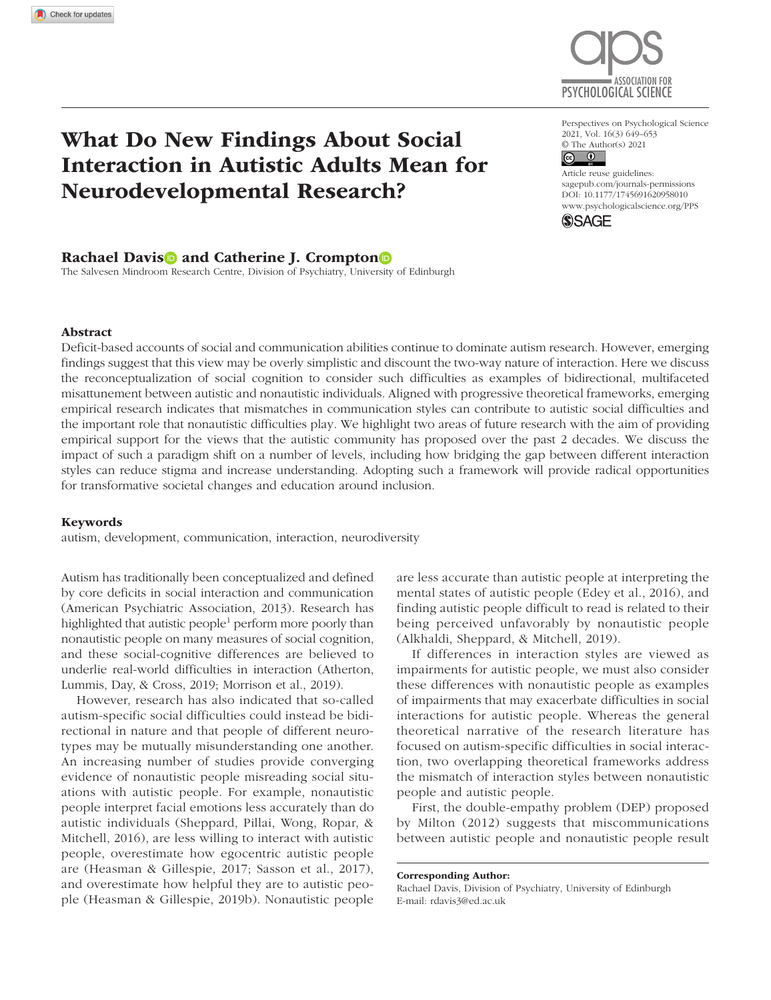

# What Do New Findings About Social Interaction in Autistic Adults Mean for Neurodevelopmental Research?

### Rachael Davis and Catherine J. Crompton

The Salvesen Mindroom Research Centre, Division of Psychiatry, University of Edinburgh

Perspectives on Psychological Science 2021, Vol. 16(3) 649–653  $\circledcirc$  The Author(s) 2021

https://doi.org/10.1177/1745691620958010 DOI: 10.1177/1745691620958010 Article reuse guidelines: [sagepub.com/journals-permissions](https://us.sagepub.com/en-us/journals-permissions) [www.psychologicalscience.org/PPS](http://www.psychologicalscience.org/pps)



### Abstract

Deficit-based accounts of social and communication abilities continue to dominate autism research. However, emerging findings suggest that this view may be overly simplistic and discount the two-way nature of interaction. Here we discuss the reconceptualization of social cognition to consider such difficulties as examples of bidirectional, multifaceted misattunement between autistic and nonautistic individuals. Aligned with progressive theoretical frameworks, emerging empirical research indicates that mismatches in communication styles can contribute to autistic social difficulties and the important role that nonautistic difficulties play. We highlight two areas of future research with the aim of providing empirical support for the views that the autistic community has proposed over the past 2 decades. We discuss the impact of such a paradigm shift on a number of levels, including how bridging the gap between different interaction styles can reduce stigma and increase understanding. Adopting such a framework will provide radical opportunities for transformative societal changes and education around inclusion.

#### Keywords

autism, development, communication, interaction, neurodiversity

Autism has traditionally been conceptualized and defined by core deficits in social interaction and communication (American Psychiatric Association, 2013). Research has highlighted that autistic people<sup>1</sup> perform more poorly than nonautistic people on many measures of social cognition, and these social-cognitive differences are believed to underlie real-world difficulties in interaction (Atherton, Lummis, Day, & Cross, 2019; Morrison et al., 2019).

However, research has also indicated that so-called autism-specific social difficulties could instead be bidirectional in nature and that people of different neurotypes may be mutually misunderstanding one another. An increasing number of studies provide converging evidence of nonautistic people misreading social situations with autistic people. For example, nonautistic people interpret facial emotions less accurately than do autistic individuals (Sheppard, Pillai, Wong, Ropar, & Mitchell, 2016), are less willing to interact with autistic people, overestimate how egocentric autistic people are (Heasman & Gillespie, 2017; Sasson et al., 2017), and overestimate how helpful they are to autistic people (Heasman & Gillespie, 2019b). Nonautistic people

are less accurate than autistic people at interpreting the mental states of autistic people (Edey et al., 2016), and finding autistic people difficult to read is related to their being perceived unfavorably by nonautistic people (Alkhaldi, Sheppard, & Mitchell, 2019).

If differences in interaction styles are viewed as impairments for autistic people, we must also consider these differences with nonautistic people as examples of impairments that may exacerbate difficulties in social interactions for autistic people. Whereas the general theoretical narrative of the research literature has focused on autism-specific difficulties in social interaction, two overlapping theoretical frameworks address the mismatch of interaction styles between nonautistic people and autistic people.

First, the double-empathy problem (DEP) proposed by Milton (2012) suggests that miscommunications between autistic people and nonautistic people result

Corresponding Author: Rachael Davis, Division of Psychiatry, University of Edinburgh E-mail: [rdavis3@ed.ac.uk](mailto:rdavis3@ed.ac.uk)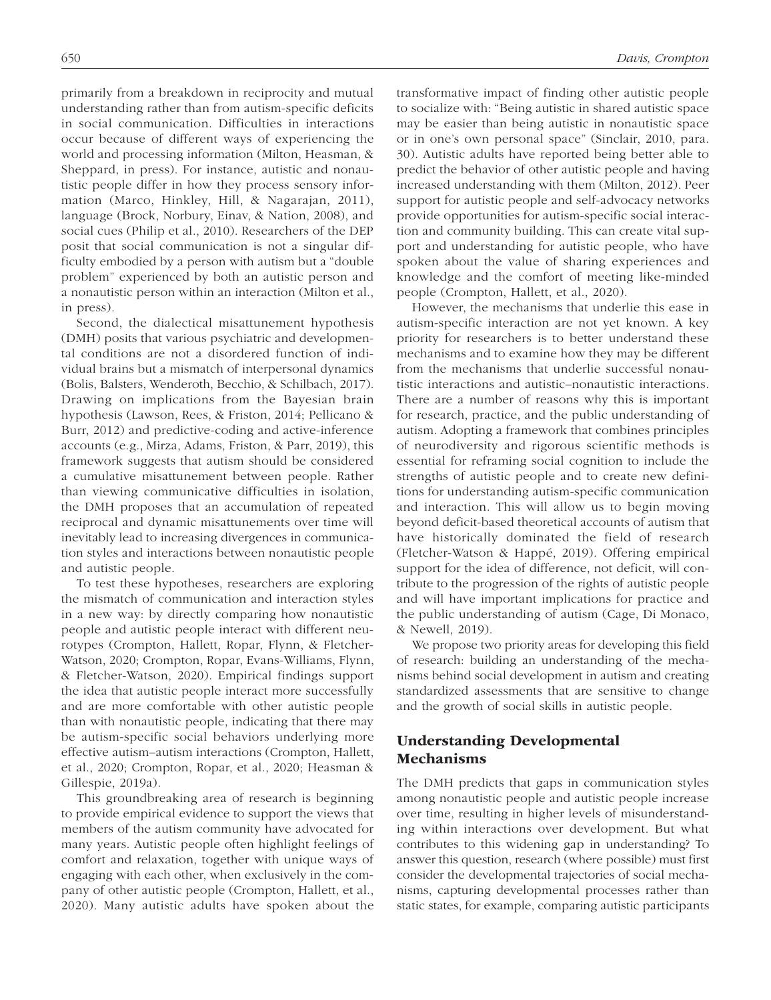primarily from a breakdown in reciprocity and mutual understanding rather than from autism-specific deficits in social communication. Difficulties in interactions occur because of different ways of experiencing the world and processing information (Milton, Heasman, & Sheppard, in press). For instance, autistic and nonautistic people differ in how they process sensory information (Marco, Hinkley, Hill, & Nagarajan, 2011), language (Brock, Norbury, Einav, & Nation, 2008), and social cues (Philip et al., 2010). Researchers of the DEP posit that social communication is not a singular difficulty embodied by a person with autism but a "double problem" experienced by both an autistic person and a nonautistic person within an interaction (Milton et al., in press).

Second, the dialectical misattunement hypothesis (DMH) posits that various psychiatric and developmental conditions are not a disordered function of individual brains but a mismatch of interpersonal dynamics (Bolis, Balsters, Wenderoth, Becchio, & Schilbach, 2017). Drawing on implications from the Bayesian brain hypothesis (Lawson, Rees, & Friston, 2014; Pellicano & Burr, 2012) and predictive-coding and active-inference accounts (e.g., Mirza, Adams, Friston, & Parr, 2019), this framework suggests that autism should be considered a cumulative misattunement between people. Rather than viewing communicative difficulties in isolation, the DMH proposes that an accumulation of repeated reciprocal and dynamic misattunements over time will inevitably lead to increasing divergences in communication styles and interactions between nonautistic people and autistic people.

To test these hypotheses, researchers are exploring the mismatch of communication and interaction styles in a new way: by directly comparing how nonautistic people and autistic people interact with different neurotypes (Crompton, Hallett, Ropar, Flynn, & Fletcher-Watson, 2020; Crompton, Ropar, Evans-Williams, Flynn, & Fletcher-Watson, 2020). Empirical findings support the idea that autistic people interact more successfully and are more comfortable with other autistic people than with nonautistic people, indicating that there may be autism-specific social behaviors underlying more effective autism–autism interactions (Crompton, Hallett, et al., 2020; Crompton, Ropar, et al., 2020; Heasman & Gillespie, 2019a).

This groundbreaking area of research is beginning to provide empirical evidence to support the views that members of the autism community have advocated for many years. Autistic people often highlight feelings of comfort and relaxation, together with unique ways of engaging with each other, when exclusively in the company of other autistic people (Crompton, Hallett, et al., 2020). Many autistic adults have spoken about the transformative impact of finding other autistic people to socialize with: "Being autistic in shared autistic space may be easier than being autistic in nonautistic space or in one's own personal space" (Sinclair, 2010, para. 30). Autistic adults have reported being better able to predict the behavior of other autistic people and having increased understanding with them (Milton, 2012). Peer support for autistic people and self-advocacy networks provide opportunities for autism-specific social interaction and community building. This can create vital support and understanding for autistic people, who have spoken about the value of sharing experiences and knowledge and the comfort of meeting like-minded people (Crompton, Hallett, et al., 2020).

However, the mechanisms that underlie this ease in autism-specific interaction are not yet known. A key priority for researchers is to better understand these mechanisms and to examine how they may be different from the mechanisms that underlie successful nonautistic interactions and autistic–nonautistic interactions. There are a number of reasons why this is important for research, practice, and the public understanding of autism. Adopting a framework that combines principles of neurodiversity and rigorous scientific methods is essential for reframing social cognition to include the strengths of autistic people and to create new definitions for understanding autism-specific communication and interaction. This will allow us to begin moving beyond deficit-based theoretical accounts of autism that have historically dominated the field of research (Fletcher-Watson & Happé, 2019). Offering empirical support for the idea of difference, not deficit, will contribute to the progression of the rights of autistic people and will have important implications for practice and the public understanding of autism (Cage, Di Monaco, & Newell, 2019).

We propose two priority areas for developing this field of research: building an understanding of the mechanisms behind social development in autism and creating standardized assessments that are sensitive to change and the growth of social skills in autistic people.

### Understanding Developmental Mechanisms

The DMH predicts that gaps in communication styles among nonautistic people and autistic people increase over time, resulting in higher levels of misunderstanding within interactions over development. But what contributes to this widening gap in understanding? To answer this question, research (where possible) must first consider the developmental trajectories of social mechanisms, capturing developmental processes rather than static states, for example, comparing autistic participants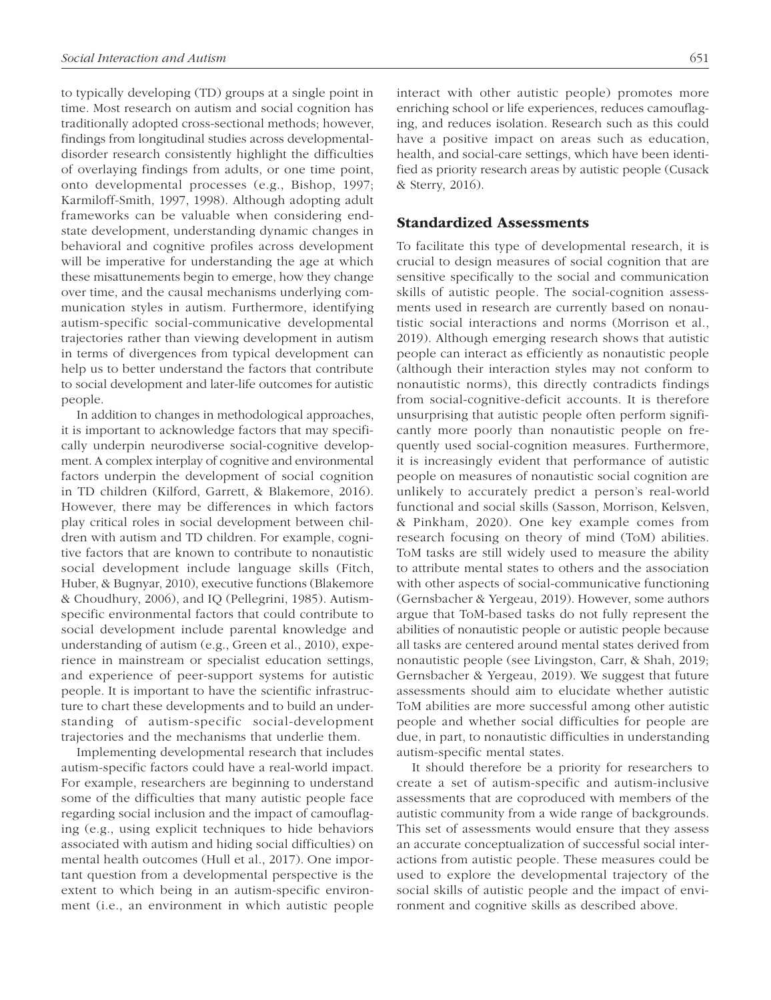to typically developing (TD) groups at a single point in time. Most research on autism and social cognition has traditionally adopted cross-sectional methods; however, findings from longitudinal studies across developmentaldisorder research consistently highlight the difficulties of overlaying findings from adults, or one time point, onto developmental processes (e.g., Bishop, 1997; Karmiloff-Smith, 1997, 1998). Although adopting adult frameworks can be valuable when considering endstate development, understanding dynamic changes in behavioral and cognitive profiles across development will be imperative for understanding the age at which these misattunements begin to emerge, how they change over time, and the causal mechanisms underlying communication styles in autism. Furthermore, identifying autism-specific social-communicative developmental trajectories rather than viewing development in autism in terms of divergences from typical development can help us to better understand the factors that contribute to social development and later-life outcomes for autistic people.

In addition to changes in methodological approaches, it is important to acknowledge factors that may specifically underpin neurodiverse social-cognitive development. A complex interplay of cognitive and environmental factors underpin the development of social cognition in TD children (Kilford, Garrett, & Blakemore, 2016). However, there may be differences in which factors play critical roles in social development between children with autism and TD children. For example, cognitive factors that are known to contribute to nonautistic social development include language skills (Fitch, Huber, & Bugnyar, 2010), executive functions (Blakemore & Choudhury, 2006), and IQ (Pellegrini, 1985). Autismspecific environmental factors that could contribute to social development include parental knowledge and understanding of autism (e.g., Green et al., 2010), experience in mainstream or specialist education settings, and experience of peer-support systems for autistic people. It is important to have the scientific infrastructure to chart these developments and to build an understanding of autism-specific social-development trajectories and the mechanisms that underlie them.

Implementing developmental research that includes autism-specific factors could have a real-world impact. For example, researchers are beginning to understand some of the difficulties that many autistic people face regarding social inclusion and the impact of camouflaging (e.g., using explicit techniques to hide behaviors associated with autism and hiding social difficulties) on mental health outcomes (Hull et al., 2017). One important question from a developmental perspective is the extent to which being in an autism-specific environment (i.e., an environment in which autistic people interact with other autistic people) promotes more enriching school or life experiences, reduces camouflaging, and reduces isolation. Research such as this could have a positive impact on areas such as education, health, and social-care settings, which have been identified as priority research areas by autistic people (Cusack & Sterry, 2016).

### Standardized Assessments

To facilitate this type of developmental research, it is crucial to design measures of social cognition that are sensitive specifically to the social and communication skills of autistic people. The social-cognition assessments used in research are currently based on nonautistic social interactions and norms (Morrison et al., 2019). Although emerging research shows that autistic people can interact as efficiently as nonautistic people (although their interaction styles may not conform to nonautistic norms), this directly contradicts findings from social-cognitive-deficit accounts. It is therefore unsurprising that autistic people often perform significantly more poorly than nonautistic people on frequently used social-cognition measures. Furthermore, it is increasingly evident that performance of autistic people on measures of nonautistic social cognition are unlikely to accurately predict a person's real-world functional and social skills (Sasson, Morrison, Kelsven, & Pinkham, 2020). One key example comes from research focusing on theory of mind (ToM) abilities. ToM tasks are still widely used to measure the ability to attribute mental states to others and the association with other aspects of social-communicative functioning (Gernsbacher & Yergeau, 2019). However, some authors argue that ToM-based tasks do not fully represent the abilities of nonautistic people or autistic people because all tasks are centered around mental states derived from nonautistic people (see Livingston, Carr, & Shah, 2019; Gernsbacher & Yergeau, 2019). We suggest that future assessments should aim to elucidate whether autistic ToM abilities are more successful among other autistic people and whether social difficulties for people are due, in part, to nonautistic difficulties in understanding autism-specific mental states.

It should therefore be a priority for researchers to create a set of autism-specific and autism-inclusive assessments that are coproduced with members of the autistic community from a wide range of backgrounds. This set of assessments would ensure that they assess an accurate conceptualization of successful social interactions from autistic people. These measures could be used to explore the developmental trajectory of the social skills of autistic people and the impact of environment and cognitive skills as described above.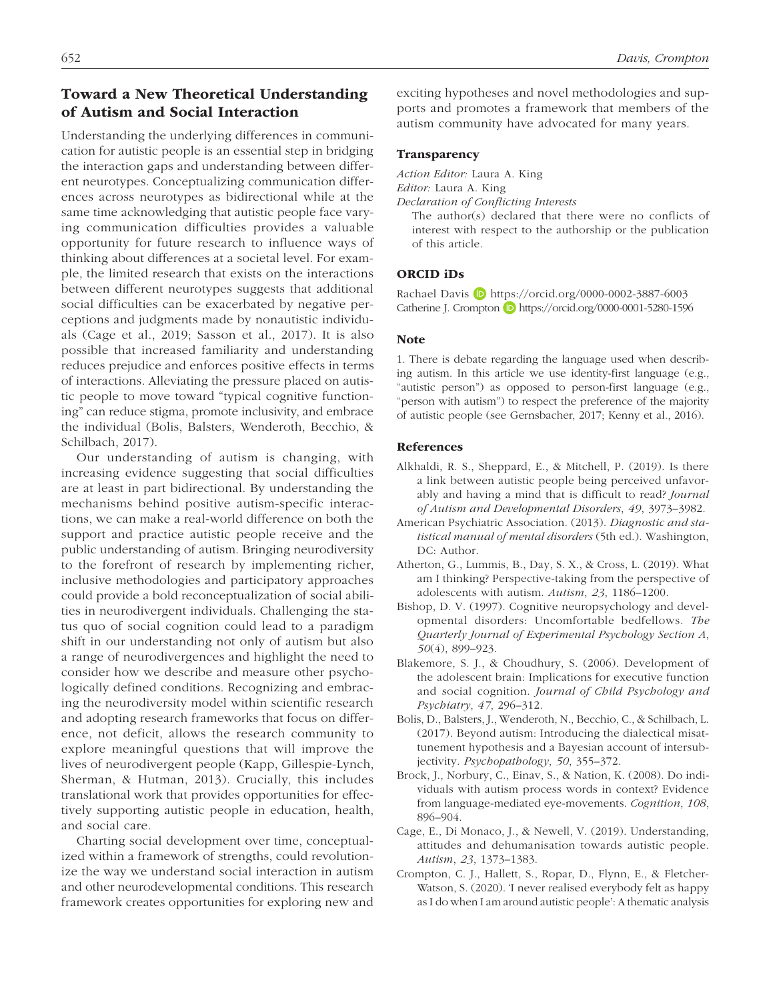# 652 *Davis, Crompton*

## Toward a New Theoretical Understanding of Autism and Social Interaction

Understanding the underlying differences in communication for autistic people is an essential step in bridging the interaction gaps and understanding between different neurotypes. Conceptualizing communication differences across neurotypes as bidirectional while at the same time acknowledging that autistic people face varying communication difficulties provides a valuable opportunity for future research to influence ways of thinking about differences at a societal level. For example, the limited research that exists on the interactions between different neurotypes suggests that additional social difficulties can be exacerbated by negative perceptions and judgments made by nonautistic individuals (Cage et al., 2019; Sasson et al., 2017). It is also possible that increased familiarity and understanding reduces prejudice and enforces positive effects in terms of interactions. Alleviating the pressure placed on autistic people to move toward "typical cognitive functioning" can reduce stigma, promote inclusivity, and embrace the individual (Bolis, Balsters, Wenderoth, Becchio, & Schilbach, 2017).

Our understanding of autism is changing, with increasing evidence suggesting that social difficulties are at least in part bidirectional. By understanding the mechanisms behind positive autism-specific interactions, we can make a real-world difference on both the support and practice autistic people receive and the public understanding of autism. Bringing neurodiversity to the forefront of research by implementing richer, inclusive methodologies and participatory approaches could provide a bold reconceptualization of social abilities in neurodivergent individuals. Challenging the status quo of social cognition could lead to a paradigm shift in our understanding not only of autism but also a range of neurodivergences and highlight the need to consider how we describe and measure other psychologically defined conditions. Recognizing and embracing the neurodiversity model within scientific research and adopting research frameworks that focus on difference, not deficit, allows the research community to explore meaningful questions that will improve the lives of neurodivergent people (Kapp, Gillespie-Lynch, Sherman, & Hutman, 2013). Crucially, this includes translational work that provides opportunities for effectively supporting autistic people in education, health, and social care.

Charting social development over time, conceptualized within a framework of strengths, could revolutionize the way we understand social interaction in autism and other neurodevelopmental conditions. This research framework creates opportunities for exploring new and exciting hypotheses and novel methodologies and supports and promotes a framework that members of the autism community have advocated for many years.

### **Transparency**

*Action Editor:* Laura A. King

*Editor:* Laura A. King

*Declaration of Conflicting Interests*

The author(s) declared that there were no conflicts of interest with respect to the authorship or the publication of this article.

### ORCID iDs

Rachael Davis D <https://orcid.org/0000-0002-3887-6003> Catherine J. Crompton **D** <https://orcid.org/0000-0001-5280-1596>

### Note

1. There is debate regarding the language used when describing autism. In this article we use identity-first language (e.g., "autistic person") as opposed to person-first language (e.g., "person with autism") to respect the preference of the majority of autistic people (see Gernsbacher, 2017; Kenny et al., 2016).

### References

- Alkhaldi, R. S., Sheppard, E., & Mitchell, P. (2019). Is there a link between autistic people being perceived unfavorably and having a mind that is difficult to read? *Journal of Autism and Developmental Disorders*, *49*, 3973–3982.
- American Psychiatric Association. (2013). *Diagnostic and statistical manual of mental disorders* (5th ed.). Washington, DC: Author.
- Atherton, G., Lummis, B., Day, S. X., & Cross, L. (2019). What am I thinking? Perspective-taking from the perspective of adolescents with autism. *Autism*, *23*, 1186–1200.
- Bishop, D. V. (1997). Cognitive neuropsychology and developmental disorders: Uncomfortable bedfellows. *The Quarterly Journal of Experimental Psychology Section A*, *50*(4), 899–923.
- Blakemore, S. J., & Choudhury, S. (2006). Development of the adolescent brain: Implications for executive function and social cognition. *Journal of Child Psychology and Psychiatry*, *47*, 296–312.
- Bolis, D., Balsters, J., Wenderoth, N., Becchio, C., & Schilbach, L. (2017). Beyond autism: Introducing the dialectical misattunement hypothesis and a Bayesian account of intersubjectivity. *Psychopathology*, *50*, 355–372.
- Brock, J., Norbury, C., Einav, S., & Nation, K. (2008). Do individuals with autism process words in context? Evidence from language-mediated eye-movements. *Cognition*, *108*, 896–904.
- Cage, E., Di Monaco, J., & Newell, V. (2019). Understanding, attitudes and dehumanisation towards autistic people. *Autism*, *23*, 1373–1383.
- Crompton, C. J., Hallett, S., Ropar, D., Flynn, E., & Fletcher-Watson, S. (2020). 'I never realised everybody felt as happy as I do when I am around autistic people': A thematic analysis